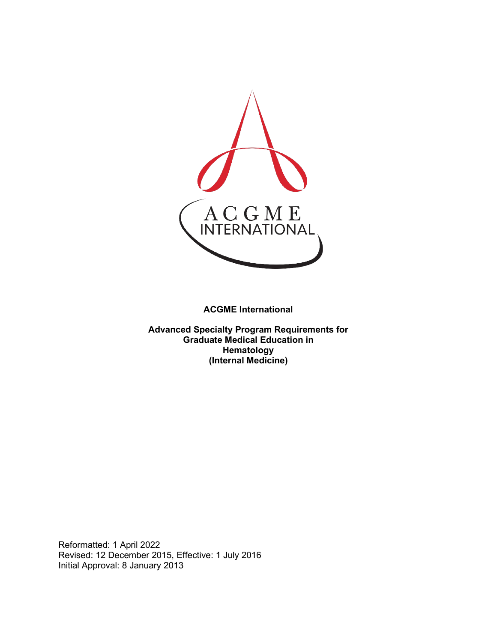

**ACGME International** 

**Advanced Specialty Program Requirements for Graduate Medical Education in Hematology (Internal Medicine)**

Reformatted: 1 April 2022 Revised: 12 December 2015, Effective: 1 July 2016 Initial Approval: 8 January 2013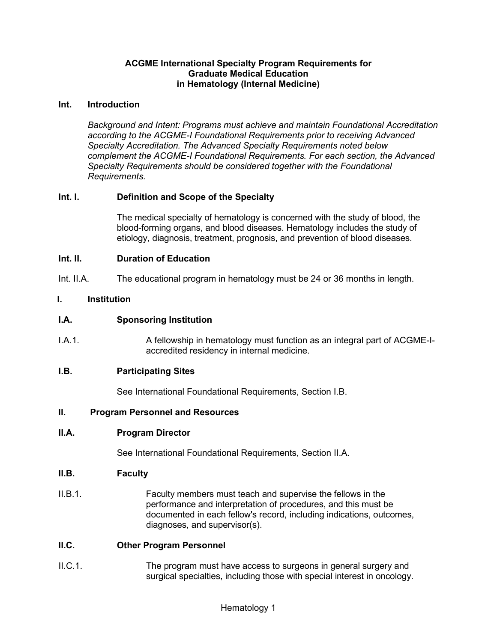# **ACGME International Specialty Program Requirements for Graduate Medical Education in Hematology (Internal Medicine)**

#### **Int. Introduction**

*Background and Intent: Programs must achieve and maintain Foundational Accreditation according to the ACGME-I Foundational Requirements prior to receiving Advanced Specialty Accreditation. The Advanced Specialty Requirements noted below complement the ACGME-I Foundational Requirements. For each section, the Advanced Specialty Requirements should be considered together with the Foundational Requirements.*

# **Int. I. Definition and Scope of the Specialty**

The medical specialty of hematology is concerned with the study of blood, the blood-forming organs, and blood diseases. Hematology includes the study of etiology, diagnosis, treatment, prognosis, and prevention of blood diseases.

### **Int. II. Duration of Education**

Int. II.A. The educational program in hematology must be 24 or 36 months in length.

### **I. Institution**

### **I.A. Sponsoring Institution**

I.A.1. A fellowship in hematology must function as an integral part of ACGME-Iaccredited residency in internal medicine.

#### **I.B. Participating Sites**

See International Foundational Requirements, Section I.B.

#### **II. Program Personnel and Resources**

#### **II.A. Program Director**

See International Foundational Requirements, Section II.A.

#### **II.B. Faculty**

II.B.1. Faculty members must teach and supervise the fellows in the performance and interpretation of procedures, and this must be documented in each fellow's record, including indications, outcomes, diagnoses, and supervisor(s).

# **II.C. Other Program Personnel**

II.C.1. The program must have access to surgeons in general surgery and surgical specialties, including those with special interest in oncology.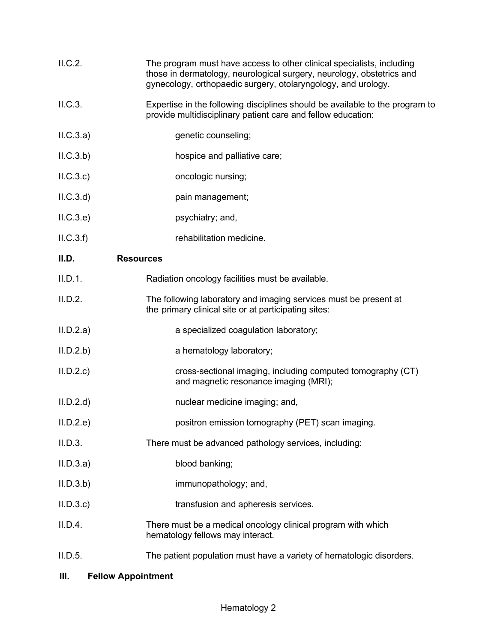| II.C.2. | The program must have access to other clinical specialists, including |
|---------|-----------------------------------------------------------------------|
|         | those in dermatology, neurological surgery, neurology, obstetrics and |
|         | gynecology, orthopaedic surgery, otolaryngology, and urology.         |

- II.C.3. Expertise in the following disciplines should be available to the program to provide multidisciplinary patient care and fellow education:
- II.C.3.a) genetic counseling;
- II.C.3.b) hospice and palliative care;
- II.C.3.c) oncologic nursing;
- II.C.3.d) pain management;
- II.C.3.e) psychiatry; and,
- II.C.3.f) rehabilitation medicine.

### **II.D. Resources**

- II.D.1. Radiation oncology facilities must be available.
- II.D.2. The following laboratory and imaging services must be present at the primary clinical site or at participating sites:
- II.D.2.a) a specialized coagulation laboratory;
- II.D.2.b) a hematology laboratory;
- II.D.2.c) cross-sectional imaging, including computed tomography (CT) and magnetic resonance imaging (MRI);
- II.D.2.d) nuclear medicine imaging; and,
- II.D.2.e) positron emission tomography (PET) scan imaging.
- II.D.3. There must be advanced pathology services, including:
- II.D.3.a) blood banking;
- II.D.3.b) immunopathology; and,
- II.D.3.c) transfusion and apheresis services.
- II.D.4. There must be a medical oncology clinical program with which hematology fellows may interact.
- II.D.5. The patient population must have a variety of hematologic disorders.

#### **III. Fellow Appointment**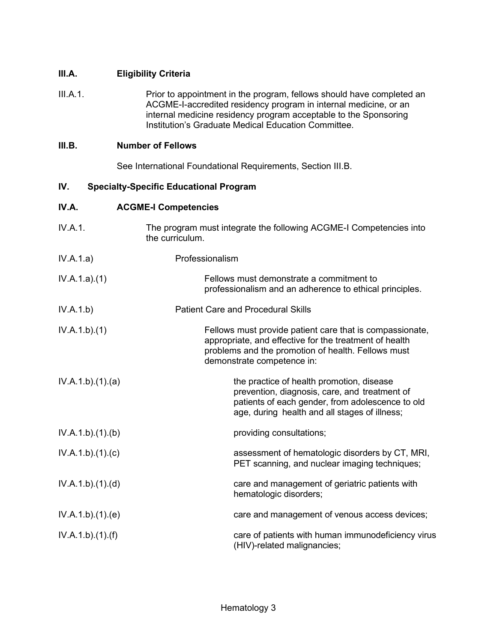# **III.A. Eligibility Criteria**

III.A.1. Prior to appointment in the program, fellows should have completed an ACGME-I-accredited residency program in internal medicine, or an internal medicine residency program acceptable to the Sponsoring Institution's Graduate Medical Education Committee.

# **III.B. Number of Fellows**

See International Foundational Requirements, Section III.B.

# **IV. Specialty-Specific Educational Program**

# **IV.A. ACGME-I Competencies**

| IV.A.1.         | The program must integrate the following ACGME-I Competencies into<br>the curriculum.                                                                                                                  |
|-----------------|--------------------------------------------------------------------------------------------------------------------------------------------------------------------------------------------------------|
| IV.A.1.a)       | Professionalism                                                                                                                                                                                        |
| IV.A.1.a)(1)    | Fellows must demonstrate a commitment to<br>professionalism and an adherence to ethical principles.                                                                                                    |
| IV.A.1.b)       | <b>Patient Care and Procedural Skills</b>                                                                                                                                                              |
| IV.A.1.b)(1)    | Fellows must provide patient care that is compassionate,<br>appropriate, and effective for the treatment of health<br>problems and the promotion of health. Fellows must<br>demonstrate competence in: |
| IV.A.1.b)(1)(a) | the practice of health promotion, disease<br>prevention, diagnosis, care, and treatment of<br>patients of each gender, from adolescence to old<br>age, during health and all stages of illness;        |
| IV.A.1.b)(1)(b) | providing consultations;                                                                                                                                                                               |
| IV.A.1.b)(1)(c) | assessment of hematologic disorders by CT, MRI,<br>PET scanning, and nuclear imaging techniques;                                                                                                       |
| IV.A.1.b)(1)(d) | care and management of geriatric patients with<br>hematologic disorders;                                                                                                                               |
| IV.A.1.b)(1)(e) | care and management of venous access devices;                                                                                                                                                          |
| IV.A.1.b)(1)(f) | care of patients with human immunodeficiency virus<br>(HIV)-related malignancies;                                                                                                                      |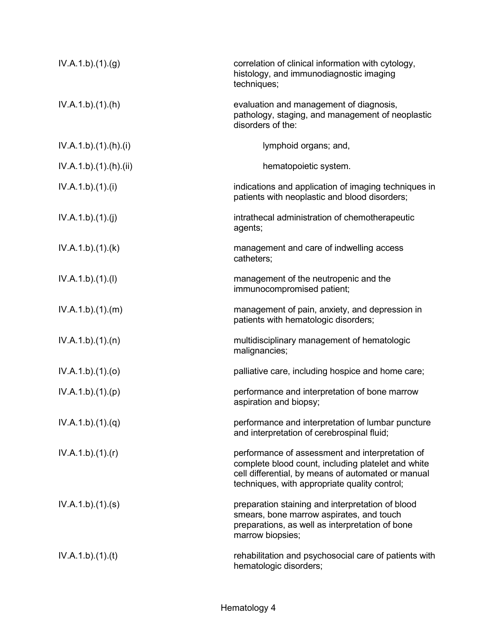| IV.A.1.b)(1)(g)     | correlation of clinical information with cytology,<br>histology, and immunodiagnostic imaging<br>techniques;                                                                                                 |
|---------------------|--------------------------------------------------------------------------------------------------------------------------------------------------------------------------------------------------------------|
| IV.A.1.b).(1).(h)   | evaluation and management of diagnosis,<br>pathology, staging, and management of neoplastic<br>disorders of the:                                                                                             |
| IV.A.1.b)(1)(h)(i)  | lymphoid organs; and,                                                                                                                                                                                        |
| IV.A.1.b)(1)(h)(ii) | hematopoietic system.                                                                                                                                                                                        |
| IV.A.1.b)(1)(i)     | indications and application of imaging techniques in<br>patients with neoplastic and blood disorders;                                                                                                        |
| IV.A.1.b)(1)(j)     | intrathecal administration of chemotherapeutic<br>agents;                                                                                                                                                    |
| IV.A.1.b)(1)(k)     | management and care of indwelling access<br>catheters;                                                                                                                                                       |
| IV.A.1.b)(1)(I)     | management of the neutropenic and the<br>immunocompromised patient;                                                                                                                                          |
| IV.A.1.b)(1)(m)     | management of pain, anxiety, and depression in<br>patients with hematologic disorders;                                                                                                                       |
| IV.A.1.b)(1)(n)     | multidisciplinary management of hematologic<br>malignancies;                                                                                                                                                 |
| IV.A.1.b)(1)(o)     | palliative care, including hospice and home care;                                                                                                                                                            |
| IV.A.1.b)(1)(p)     | performance and interpretation of bone marrow<br>aspiration and biopsy;                                                                                                                                      |
| IV.A.1.b)(1)(q)     | performance and interpretation of lumbar puncture<br>and interpretation of cerebrospinal fluid;                                                                                                              |
| IV.A.1.b)(1)(r)     | performance of assessment and interpretation of<br>complete blood count, including platelet and white<br>cell differential, by means of automated or manual<br>techniques, with appropriate quality control; |
| IV.A.1.b)(1)(s)     | preparation staining and interpretation of blood<br>smears, bone marrow aspirates, and touch<br>preparations, as well as interpretation of bone<br>marrow biopsies;                                          |
| IV.A.1.b)(1)(t)     | rehabilitation and psychosocial care of patients with<br>hematologic disorders;                                                                                                                              |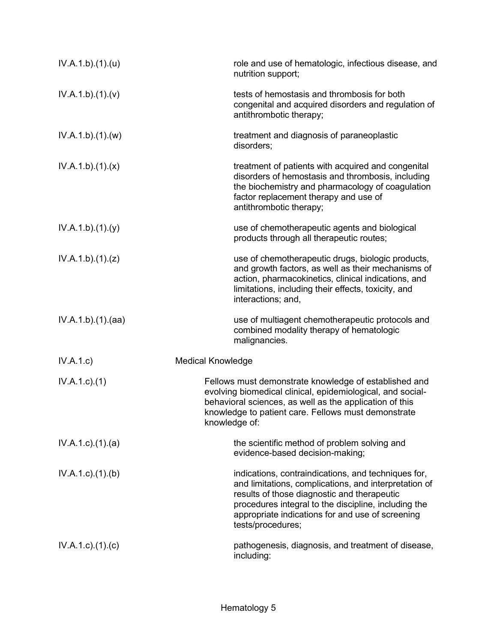| IV.A.1.b)(1)(u)           | role and use of hematologic, infectious disease, and<br>nutrition support;                                                                                                                                                                                                                   |
|---------------------------|----------------------------------------------------------------------------------------------------------------------------------------------------------------------------------------------------------------------------------------------------------------------------------------------|
| IV.A.1.b)(1)(v)           | tests of hemostasis and thrombosis for both<br>congenital and acquired disorders and regulation of<br>antithrombotic therapy;                                                                                                                                                                |
| IV.A.1.b)(1)(w)           | treatment and diagnosis of paraneoplastic<br>disorders;                                                                                                                                                                                                                                      |
| IV.A.1.b)(1)(x)           | treatment of patients with acquired and congenital<br>disorders of hemostasis and thrombosis, including<br>the biochemistry and pharmacology of coagulation<br>factor replacement therapy and use of<br>antithrombotic therapy;                                                              |
| IV.A.1.b)(1)(y)           | use of chemotherapeutic agents and biological<br>products through all therapeutic routes;                                                                                                                                                                                                    |
| IV.A.1.b)(1)(z)           | use of chemotherapeutic drugs, biologic products,<br>and growth factors, as well as their mechanisms of<br>action, pharmacokinetics, clinical indications, and<br>limitations, including their effects, toxicity, and<br>interactions; and,                                                  |
| IV.A.1.b).(1).(aa)        | use of multiagent chemotherapeutic protocols and<br>combined modality therapy of hematologic<br>malignancies.                                                                                                                                                                                |
| IV.A.1.c                  | <b>Medical Knowledge</b>                                                                                                                                                                                                                                                                     |
| $IV.A.1.c.$ (1)           | Fellows must demonstrate knowledge of established and<br>evolving biomedical clinical, epidemiological, and social-<br>behavioral sciences, as well as the application of this<br>knowledge to patient care. Fellows must demonstrate<br>knowledge of:                                       |
| $IV.A.1.c$ . $(1).$ $(a)$ | the scientific method of problem solving and<br>evidence-based decision-making;                                                                                                                                                                                                              |
| $IV.A.1.c$ . $(1).$ (b)   | indications, contraindications, and techniques for,<br>and limitations, complications, and interpretation of<br>results of those diagnostic and therapeutic<br>procedures integral to the discipline, including the<br>appropriate indications for and use of screening<br>tests/procedures; |
| $IV.A.1.c$ . $(1).$ $(c)$ | pathogenesis, diagnosis, and treatment of disease,<br>including:                                                                                                                                                                                                                             |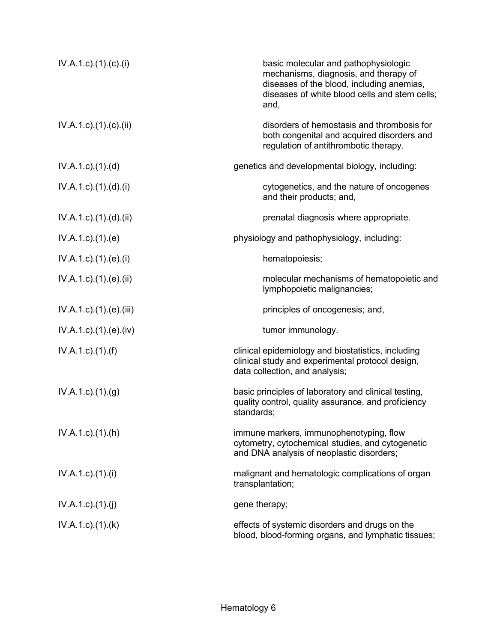| $IV.A.1.c$ ). $(1).$ (c). $(i)$   | basic molecular and pathophysiologic<br>mechanisms, diagnosis, and therapy of<br>diseases of the blood, including anemias,<br>diseases of white blood cells and stem cells;<br>and, |
|-----------------------------------|-------------------------------------------------------------------------------------------------------------------------------------------------------------------------------------|
| $IV.A.1.c$ ). $(1).$ (c). $(ii)$  | disorders of hemostasis and thrombosis for<br>both congenital and acquired disorders and<br>regulation of antithrombotic therapy.                                                   |
| $IV.A.1.c$ . $(1).$ $(d)$         | genetics and developmental biology, including:                                                                                                                                      |
| $IV.A.1.c$ ). $(1).d)$ . $(ii)$   | cytogenetics, and the nature of oncogenes<br>and their products; and,                                                                                                               |
| $IV.A.1.c$ . $(1).$ $(d).$ $(ii)$ | prenatal diagnosis where appropriate.                                                                                                                                               |
| $IV.A.1.c$ . $(1).$ $(e)$         | physiology and pathophysiology, including:                                                                                                                                          |
| $IV.A.1.c$ ). $(1).$ (e). $(i)$   | hematopoiesis;                                                                                                                                                                      |
| IV.A.1.c).(1).(e).(ii)            | molecular mechanisms of hematopoietic and<br>lymphopoietic malignancies;                                                                                                            |
| IV.A.1.c).(1).(e).(iii)           | principles of oncogenesis; and,                                                                                                                                                     |
| $IV.A.1.c$ . $(1).$ (e). $(iv)$   | tumor immunology.                                                                                                                                                                   |
| $IV.A.1.c$ ). $(1).(f)$           | clinical epidemiology and biostatistics, including<br>clinical study and experimental protocol design,<br>data collection, and analysis;                                            |
| $IV.A.1.c.$ (1).(g)               | basic principles of laboratory and clinical testing,<br>quality control, quality assurance, and proficiency<br>standards;                                                           |
| $IV.A.1.c$ . $(1).(h)$            | immune markers, immunophenotyping, flow<br>cytometry, cytochemical studies, and cytogenetic<br>and DNA analysis of neoplastic disorders;                                            |
| $IV.A.1.c$ ). $(1).$              | malignant and hematologic complications of organ<br>transplantation;                                                                                                                |
| IV.A.1.c)(1)(i)                   | gene therapy;                                                                                                                                                                       |
| $IV.A.1.c$ . $(1).$ (k)           | effects of systemic disorders and drugs on the<br>blood, blood-forming organs, and lymphatic tissues;                                                                               |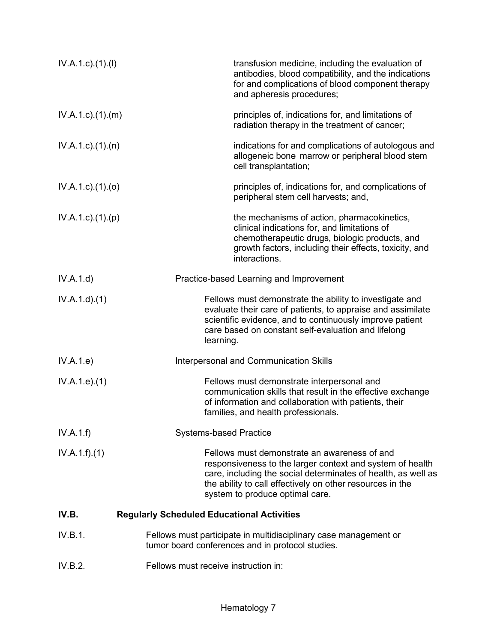| $IV.A.1.c.$ (1).(1)       | transfusion medicine, including the evaluation of<br>antibodies, blood compatibility, and the indications<br>for and complications of blood component therapy<br>and apheresis procedures;                                                                                 |
|---------------------------|----------------------------------------------------------------------------------------------------------------------------------------------------------------------------------------------------------------------------------------------------------------------------|
| IV.A.1.c)(1)(m)           | principles of, indications for, and limitations of<br>radiation therapy in the treatment of cancer;                                                                                                                                                                        |
| $IV.A.1.c$ . $(1).$ $(n)$ | indications for and complications of autologous and<br>allogeneic bone marrow or peripheral blood stem<br>cell transplantation;                                                                                                                                            |
| $IV.A.1.c$ ). $(1).$ (0)  | principles of, indications for, and complications of<br>peripheral stem cell harvests; and,                                                                                                                                                                                |
| $IV.A.1.c$ . $(1).(p)$    | the mechanisms of action, pharmacokinetics,<br>clinical indications for, and limitations of<br>chemotherapeutic drugs, biologic products, and<br>growth factors, including their effects, toxicity, and<br>interactions.                                                   |
| IV.A.1.d)                 | Practice-based Learning and Improvement                                                                                                                                                                                                                                    |
| IV.A.1.d)(1)              | Fellows must demonstrate the ability to investigate and<br>evaluate their care of patients, to appraise and assimilate<br>scientific evidence, and to continuously improve patient<br>care based on constant self-evaluation and lifelong<br>learning.                     |
| IV.A.1.e)                 | Interpersonal and Communication Skills                                                                                                                                                                                                                                     |
| IV.A.1.e. (1)             | Fellows must demonstrate interpersonal and<br>communication skills that result in the effective exchange<br>of information and collaboration with patients, their<br>families, and health professionals.                                                                   |
| IV.A.1.f)                 | <b>Systems-based Practice</b>                                                                                                                                                                                                                                              |
| IV.A.1.f)(1)              | Fellows must demonstrate an awareness of and<br>responsiveness to the larger context and system of health<br>care, including the social determinates of health, as well as<br>the ability to call effectively on other resources in the<br>system to produce optimal care. |
| IV.B.                     | <b>Regularly Scheduled Educational Activities</b>                                                                                                                                                                                                                          |
| IV.B.1.                   | Fellows must participate in multidisciplinary case management or<br>tumor board conferences and in protocol studies.                                                                                                                                                       |
| IV.B.2.                   | Fellows must receive instruction in:                                                                                                                                                                                                                                       |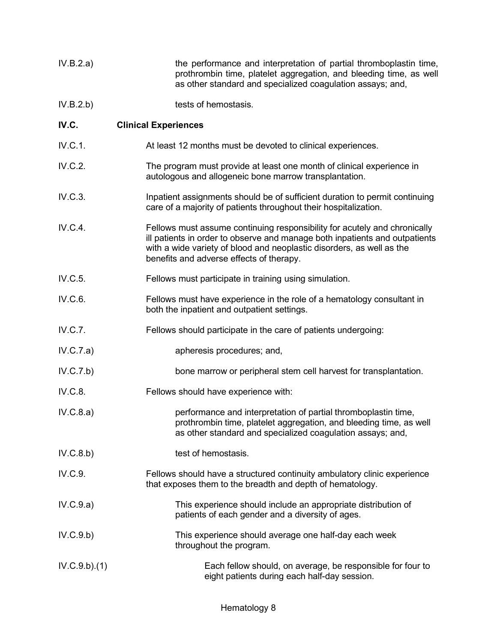| IV.B.2.a) | the performance and interpretation of partial thromboplastin time, |
|-----------|--------------------------------------------------------------------|
|           | prothrombin time, platelet aggregation, and bleeding time, as well |
|           | as other standard and specialized coagulation assays; and,         |

IV.B.2.b) tests of hemostasis.

# **IV.C. Clinical Experiences**

- IV.C.1. At least 12 months must be devoted to clinical experiences.
- IV.C.2. The program must provide at least one month of clinical experience in autologous and allogeneic bone marrow transplantation.
- IV.C.3. Inpatient assignments should be of sufficient duration to permit continuing care of a majority of patients throughout their hospitalization.
- IV.C.4. Fellows must assume continuing responsibility for acutely and chronically ill patients in order to observe and manage both inpatients and outpatients with a wide variety of blood and neoplastic disorders, as well as the benefits and adverse effects of therapy.
- IV.C.5. Fellows must participate in training using simulation.
- IV.C.6. Fellows must have experience in the role of a hematology consultant in both the inpatient and outpatient settings.
- IV.C.7. Fellows should participate in the care of patients undergoing:
- IV.C.7.a) apheresis procedures; and,
- IV.C.7.b) bone marrow or peripheral stem cell harvest for transplantation.
- IV.C.8. Fellows should have experience with:
- IV.C.8.a) performance and interpretation of partial thromboplastin time, prothrombin time, platelet aggregation, and bleeding time, as well as other standard and specialized coagulation assays; and,
- IV.C.8.b) test of hemostasis.
- IV.C.9. Fellows should have a structured continuity ambulatory clinic experience that exposes them to the breadth and depth of hematology.
- IV.C.9.a) This experience should include an appropriate distribution of patients of each gender and a diversity of ages.
- IV.C.9.b) This experience should average one half-day each week throughout the program.
- IV.C.9.b).(1) Each fellow should, on average, be responsible for four to eight patients during each half-day session.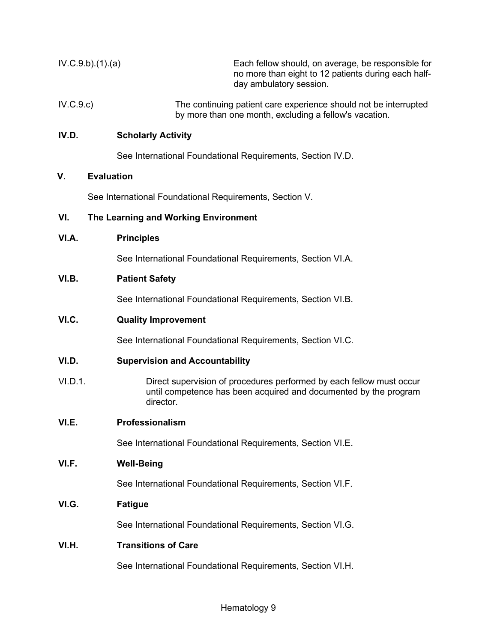| IV.C.9.b)(1).(a) | Each fellow should, on average, be responsible for<br>no more than eight to 12 patients during each half-<br>day ambulatory session. |
|------------------|--------------------------------------------------------------------------------------------------------------------------------------|
| IV.C.9.c)        | The continuing patient care experience should not be interrupted<br>by more than one month, excluding a fellow's vacation.           |

# **IV.D. Scholarly Activity**

See International Foundational Requirements, Section IV.D.

# **V. Evaluation**

See International Foundational Requirements, Section V.

### **VI. The Learning and Working Environment**

**VI.A. Principles**

See International Foundational Requirements, Section VI.A.

### **VI.B. Patient Safety**

See International Foundational Requirements, Section VI.B.

# **VI.C. Quality Improvement**

See International Foundational Requirements, Section VI.C.

### **VI.D. Supervision and Accountability**

VI.D.1. Direct supervision of procedures performed by each fellow must occur until competence has been acquired and documented by the program director.

#### **VI.E. Professionalism**

See International Foundational Requirements, Section VI.E.

#### **VI.F. Well-Being**

See International Foundational Requirements, Section VI.F.

# **VI.G. Fatigue**

See International Foundational Requirements, Section VI.G.

# **VI.H. Transitions of Care**

See International Foundational Requirements, Section VI.H.